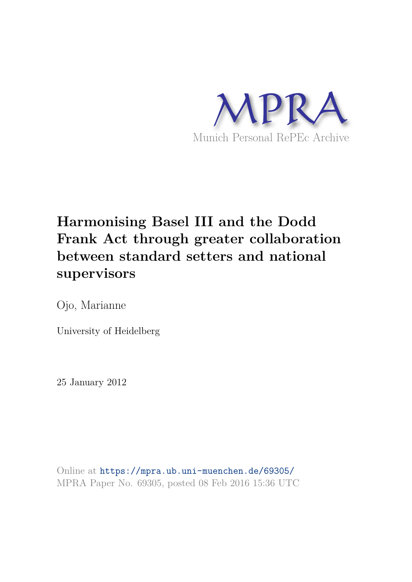

# **Harmonising Basel III and the Dodd Frank Act through greater collaboration between standard setters and national supervisors**

Ojo, Marianne

University of Heidelberg

25 January 2012

Online at https://mpra.ub.uni-muenchen.de/69305/ MPRA Paper No. 69305, posted 08 Feb 2016 15:36 UTC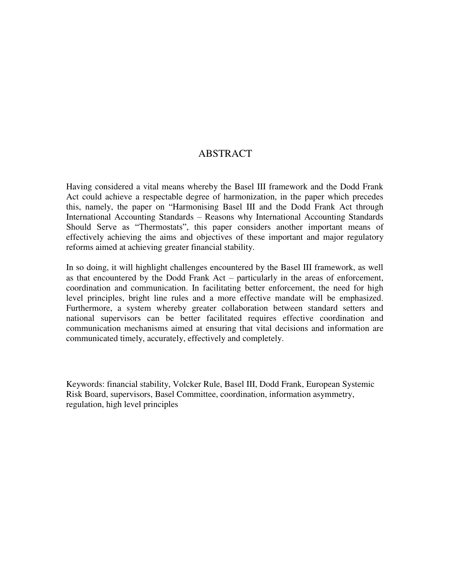### ABSTRACT

Having considered a vital means whereby the Basel III framework and the Dodd Frank Act could achieve a respectable degree of harmonization, in the paper which precedes this, namely, the paper on "Harmonising Basel III and the Dodd Frank Act through International Accounting Standards – Reasons why International Accounting Standards Should Serve as "Thermostats", this paper considers another important means of effectively achieving the aims and objectives of these important and major regulatory reforms aimed at achieving greater financial stability.

In so doing, it will highlight challenges encountered by the Basel III framework, as well as that encountered by the Dodd Frank Act – particularly in the areas of enforcement, coordination and communication. In facilitating better enforcement, the need for high level principles, bright line rules and a more effective mandate will be emphasized. Furthermore, a system whereby greater collaboration between standard setters and national supervisors can be better facilitated requires effective coordination and communication mechanisms aimed at ensuring that vital decisions and information are communicated timely, accurately, effectively and completely.

Keywords: financial stability, Volcker Rule, Basel III, Dodd Frank, European Systemic Risk Board, supervisors, Basel Committee, coordination, information asymmetry, regulation, high level principles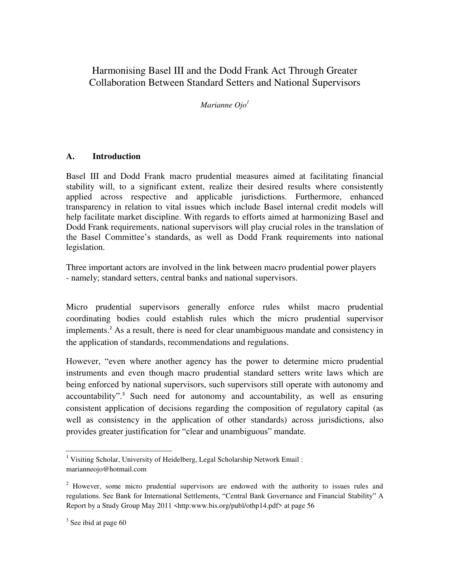## Harmonising Basel III and the Dodd Frank Act Through Greater Collaboration Between Standard Setters and National Supervisors

*Marianne Ojo<sup>1</sup>*

#### **A. Introduction**

Basel III and Dodd Frank macro prudential measures aimed at facilitating financial stability will, to a significant extent, realize their desired results where consistently applied across respective and applicable jurisdictions. Furthermore, enhanced transparency in relation to vital issues which include Basel internal credit models will help facilitate market discipline. With regards to efforts aimed at harmonizing Basel and Dodd Frank requirements, national supervisors will play crucial roles in the translation of the Basel Committee's standards, as well as Dodd Frank requirements into national legislation.

Three important actors are involved in the link between macro prudential power players - namely; standard setters, central banks and national supervisors.

Micro prudential supervisors generally enforce rules whilst macro prudential coordinating bodies could establish rules which the micro prudential supervisor implements.<sup>2</sup> As a result, there is need for clear unambiguous mandate and consistency in the application of standards, recommendations and regulations.

However, "even where another agency has the power to determine micro prudential instruments and even though macro prudential standard setters write laws which are being enforced by national supervisors, such supervisors still operate with autonomy and accountability".<sup>3</sup> Such need for autonomy and accountability, as well as ensuring consistent application of decisions regarding the composition of regulatory capital (as well as consistency in the application of other standards) across jurisdictions, also provides greater justification for "clear and unambiguous" mandate.

l

<sup>&</sup>lt;sup>1</sup> Visiting Scholar, University of Heidelberg, Legal Scholarship Network Email: marianneojo@hotmail.com

<sup>&</sup>lt;sup>2</sup> However, some micro prudential supervisors are endowed with the authority to issues rules and regulations. See Bank for International Settlements, "Central Bank Governance and Financial Stability" A Report by a Study Group May 2011 <http:www.bis.org/publ/othp14.pdf> at page 56

<sup>&</sup>lt;sup>3</sup> See ibid at page 60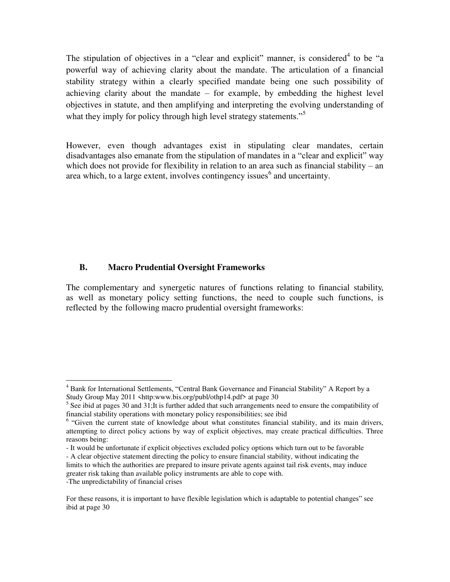The stipulation of objectives in a "clear and explicit" manner, is considered<sup>4</sup> to be "a powerful way of achieving clarity about the mandate. The articulation of a financial stability strategy within a clearly specified mandate being one such possibility of achieving clarity about the mandate – for example, by embedding the highest level objectives in statute, and then amplifying and interpreting the evolving understanding of what they imply for policy through high level strategy statements."<sup>5</sup>

However, even though advantages exist in stipulating clear mandates, certain disadvantages also emanate from the stipulation of mandates in a "clear and explicit" way which does not provide for flexibility in relation to an area such as financial stability – an area which, to a large extent, involves contingency issues $<sup>6</sup>$  and uncertainty.</sup>

#### **B. Macro Prudential Oversight Frameworks**

l

The complementary and synergetic natures of functions relating to financial stability, as well as monetary policy setting functions, the need to couple such functions, is reflected by the following macro prudential oversight frameworks:

<sup>&</sup>lt;sup>4</sup> Bank for International Settlements, "Central Bank Governance and Financial Stability" A Report by a Study Group May 2011 <http:www.bis.org/publ/othp14.pdf> at page 30

<sup>&</sup>lt;sup>5</sup> See ibid at pages 30 and 31;It is further added that such arrangements need to ensure the compatibility of financial stability operations with monetary policy responsibilities; see ibid

<sup>&</sup>lt;sup>6</sup> "Given the current state of knowledge about what constitutes financial stability, and its main drivers, attempting to direct policy actions by way of explicit objectives, may create practical difficulties. Three reasons being:

<sup>-</sup> It would be unfortunate if explicit objectives excluded policy options which turn out to be favorable

<sup>-</sup> A clear objective statement directing the policy to ensure financial stability, without indicating the limits to which the authorities are prepared to insure private agents against tail risk events, may induce greater risk taking than available policy instruments are able to cope with. -The unpredictability of financial crises

For these reasons, it is important to have flexible legislation which is adaptable to potential changes" see ibid at page 30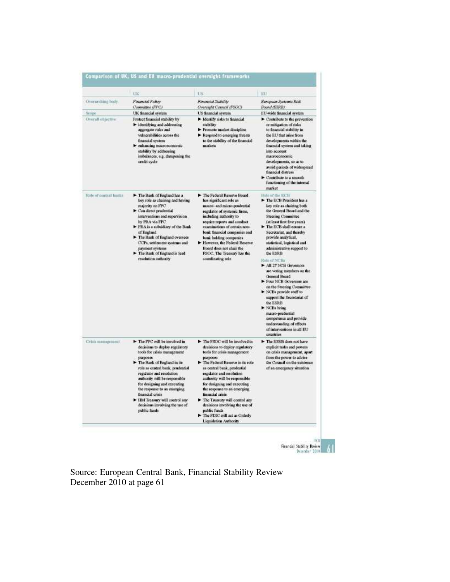|                          | <b>LIK</b>                                                                                                                                                                                                                                                                                                                                                                                                  | US.                                                                                                                                                                                                                                                                                                                                                                                                                                                                    | KU                                                                                                                                                                                                                                                                                                                                                                                                                                                                                                                                                                                                                                                                            |
|--------------------------|-------------------------------------------------------------------------------------------------------------------------------------------------------------------------------------------------------------------------------------------------------------------------------------------------------------------------------------------------------------------------------------------------------------|------------------------------------------------------------------------------------------------------------------------------------------------------------------------------------------------------------------------------------------------------------------------------------------------------------------------------------------------------------------------------------------------------------------------------------------------------------------------|-------------------------------------------------------------------------------------------------------------------------------------------------------------------------------------------------------------------------------------------------------------------------------------------------------------------------------------------------------------------------------------------------------------------------------------------------------------------------------------------------------------------------------------------------------------------------------------------------------------------------------------------------------------------------------|
| <b>Overanthing Isaly</b> | Financial Policy<br>Committee (FPC)                                                                                                                                                                                                                                                                                                                                                                         | Financial Stability<br>Oversight Council (FSOC)                                                                                                                                                                                                                                                                                                                                                                                                                        | European Systemic Risk<br>Board (ESRB)                                                                                                                                                                                                                                                                                                                                                                                                                                                                                                                                                                                                                                        |
| Sizipe                   | UK financial system                                                                                                                                                                                                                                                                                                                                                                                         | US financial system                                                                                                                                                                                                                                                                                                                                                                                                                                                    | EU-wide financial system                                                                                                                                                                                                                                                                                                                                                                                                                                                                                                                                                                                                                                                      |
| Overall objective        | Protect financial stability by<br>leadilying and addressing<br>aggregate risks and<br>vulnerabilities across the<br>financial system<br>renhancing macroeconomic-<br>stability by addressing<br>imbalances, e.g. dampening the<br>credit cycle                                                                                                                                                              | > Identify risks to financial<br>stability<br>Promote market discipline<br>Respond to emerging threats<br>to the stability of the financial<br>markets                                                                                                                                                                                                                                                                                                                 | Contribute to the prevention<br>or mitigation of risks<br>to financial stability in<br>the EU that arise from<br>developments within the<br>financial system and taking<br>into account<br>macroeconomic.<br>developments, so as to<br>avoid periods of widespread<br>financial distress<br>Contribute to a smooth<br>functioning of the internal<br>market                                                                                                                                                                                                                                                                                                                   |
| Rate of central Institu  | The Bank of England has a<br>key role as chairing and having<br>majority on FPC<br>Can direct prudential<br>interventions and supervision<br>by PRA via FPC<br>PRA is a subsidiary of the Bank<br>of Esigland<br>The Bank of England oversees<br>CCPa, settlement systems and<br>payment systems<br>The Bank of England is lead<br>resolution authority                                                     | The Federal Reserve Board<br>has significant role as<br>maceo- and micro-prudential<br>regulator of systemic firms,<br>including authority to<br>require reports and conduct<br>examinations of certain non-<br>bank financial companies and<br>bank holding companies<br>However, the Federal Reserve<br>Board does not chair the<br>FSOC. The Treasury lus the<br>coordinating role                                                                                  | Hole of the ECB<br>The ECB President has a<br>key role as chairing both<br>the General Board and the<br><b>Steering Committee</b><br>(at least first five years)<br>The ECB shall cosure a<br>Secretariat, and thereby<br>provide analytical,<br>statistical, logistical and<br>administrative support to<br>the ESRB<br>Robe of NCBs<br>All 27 NCB Governors<br>are voting members on the<br>General Board<br>Four NCB Governors are<br>on the Steering Committee-<br>> NCBs provide staff to<br>support the Secretariat of<br>the ESRB<br>> NCBs bring<br>macro-prudential<br>competence and provide<br>understanding of effects<br>of interventions in all EU<br>countries |
| Crisis memagement        | The FPC will be involved in<br>decisions to deploy regulatory<br>tools for crisis management<br>purposes<br>The Bank of England in its<br>role as central bank, prudential<br>regulator and resolution<br>authority will be responsible<br>for designing and executing<br>the response to an emerging<br>financial crisis<br>HM Treasury will control any<br>decisions involving the use of<br>public funds | The FSOC will be involved in<br>decisions to deploy regulatory<br>tools for crisis management<br>purposes<br>The Federal Reserve in its role<br>as central bank, prodential<br>regulator and resolution<br>authority will be responsible<br>for designing and executing<br>the response to an emerging<br>financial crisis<br>The Treasury will control any<br>decisions involving the use of<br>public funds<br>The FDIC will act as Orderly<br>Liquidation Authority | The ESRB does not have<br>explicit tasks and powers<br>on crisis management, apart<br>from the power to advise<br>the Council on the existence<br>of an emergency situation                                                                                                                                                                                                                                                                                                                                                                                                                                                                                                   |

Source: European Central Bank, Financial Stability Review December 2010 at page 61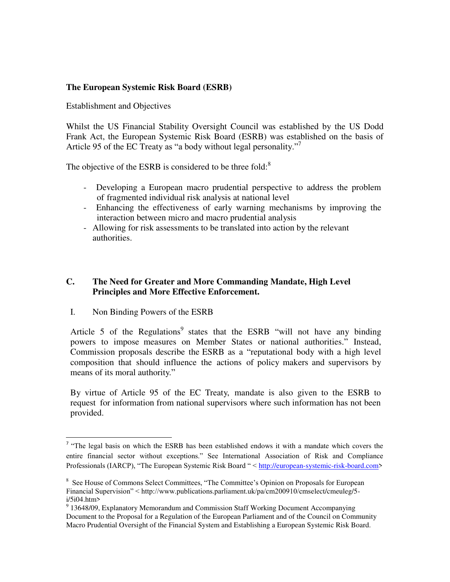#### **The European Systemic Risk Board (ESRB)**

Establishment and Objectives

Whilst the US Financial Stability Oversight Council was established by the US Dodd Frank Act, the European Systemic Risk Board (ESRB) was established on the basis of Article 95 of the EC Treaty as "a body without legal personality."

The objective of the ESRB is considered to be three fold:<sup>8</sup>

- Developing a European macro prudential perspective to address the problem of fragmented individual risk analysis at national level
- Enhancing the effectiveness of early warning mechanisms by improving the interaction between micro and macro prudential analysis
- Allowing for risk assessments to be translated into action by the relevant authorities.

#### **C. The Need for Greater and More Commanding Mandate, High Level Principles and More Effective Enforcement.**

I. Non Binding Powers of the ESRB

l

Article 5 of the Regulations<sup>9</sup> states that the ESRB "will not have any binding powers to impose measures on Member States or national authorities." Instead, Commission proposals describe the ESRB as a "reputational body with a high level composition that should influence the actions of policy makers and supervisors by means of its moral authority."

By virtue of Article 95 of the EC Treaty, mandate is also given to the ESRB to request for information from national supervisors where such information has not been provided.

<sup>&</sup>lt;sup>7</sup> "The legal basis on which the ESRB has been established endows it with a mandate which covers the entire financial sector without exceptions." See International Association of Risk and Compliance Professionals (IARCP), "The European Systemic Risk Board " < [http://european-systemic-risk-board.com>](http://european-systemic-risk-board.com/)

<sup>&</sup>lt;sup>8</sup> See House of Commons Select Committees, "The Committee's Opinion on Proposals for European Financial Supervision" < http://www.publications.parliament.uk/pa/cm200910/cmselect/cmeuleg/5 i/5i04.htm>

<sup>&</sup>lt;sup>9</sup> 13648/09, Explanatory Memorandum and Commission Staff Working Document Accompanying Document to the Proposal for a Regulation of the European Parliament and of the Council on Community Macro Prudential Oversight of the Financial System and Establishing a European Systemic Risk Board.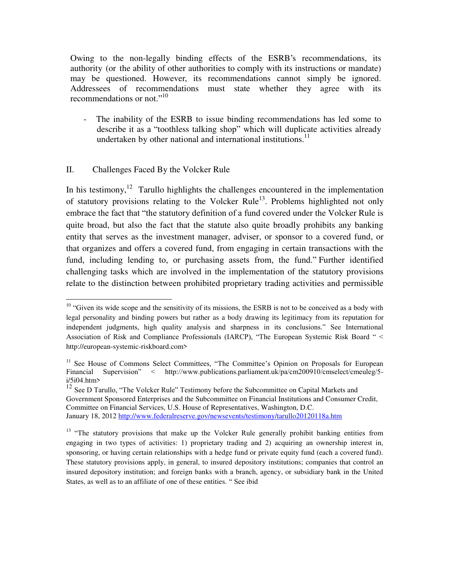Owing to the non-legally binding effects of the ESRB's recommendations, its authority (or the ability of other authorities to comply with its instructions or mandate) may be questioned. However, its recommendations cannot simply be ignored. Addressees of recommendations must state whether they agree with its recommendations or not."<sup>10</sup>

The inability of the ESRB to issue binding recommendations has led some to describe it as a "toothless talking shop" which will duplicate activities already undertaken by other national and international institutions.<sup>11</sup>

#### II. Challenges Faced By the Volcker Rule

 $\overline{a}$ 

In his testimony,<sup>12</sup> Tarullo highlights the challenges encountered in the implementation of statutory provisions relating to the Volcker Rule<sup>13</sup>. Problems highlighted not only embrace the fact that "the statutory definition of a fund covered under the Volcker Rule is quite broad, but also the fact that the statute also quite broadly prohibits any banking entity that serves as the investment manager, adviser, or sponsor to a covered fund, or that organizes and offers a covered fund, from engaging in certain transactions with the fund, including lending to, or purchasing assets from, the fund." Further identified challenging tasks which are involved in the implementation of the statutory provisions relate to the distinction between prohibited proprietary trading activities and permissible

 $10$  "Given its wide scope and the sensitivity of its missions, the ESRB is not to be conceived as a body with legal personality and binding powers but rather as a body drawing its legitimacy from its reputation for independent judgments, high quality analysis and sharpness in its conclusions." See International Association of Risk and Compliance Professionals (IARCP), "The European Systemic Risk Board " < http://european-systemic-riskboard.com>

<sup>&</sup>lt;sup>11</sup> See House of Commons Select Committees, "The Committee's Opinion on Proposals for European Financial Supervision" < http://www.publications.parliament.uk/pa/cm200910/cmselect/cmeuleg/5-Financial Supervision" < http://www.publications.parliament.uk/pa/cm200910/cmselect/cmeuleg/5 i/5i04.htm>

 $12$  See D Tarullo, "The Volcker Rule" Testimony before the Subcommittee on Capital Markets and Government Sponsored Enterprises and the Subcommittee on Financial Institutions and Consumer Credit, Committee on Financial Services, U.S. House of Representatives, Washington, D.C. January 18, 2012<http://www.federalreserve.gov/newsevents/testimony/tarullo20120118a.htm>

<sup>&</sup>lt;sup>13</sup> "The statutory provisions that make up the Volcker Rule generally prohibit banking entities from engaging in two types of activities: 1) proprietary trading and 2) acquiring an ownership interest in, sponsoring, or having certain relationships with a hedge fund or private equity fund (each a covered fund). These statutory provisions apply, in general, to insured depository institutions; companies that control an insured depository institution; and foreign banks with a branch, agency, or subsidiary bank in the United States, as well as to an affiliate of one of these entities. " See ibid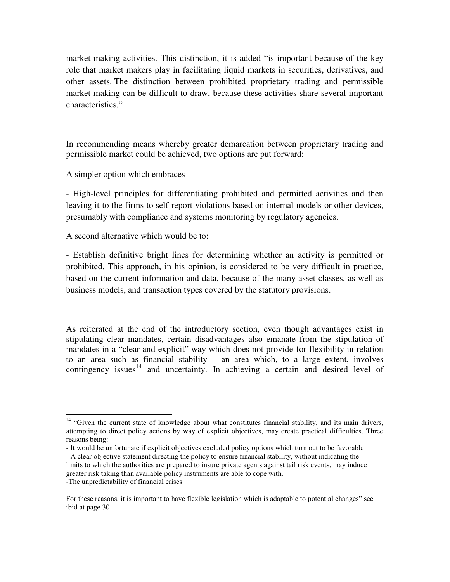market-making activities. This distinction, it is added "is important because of the key role that market makers play in facilitating liquid markets in securities, derivatives, and other assets. The distinction between prohibited proprietary trading and permissible market making can be difficult to draw, because these activities share several important characteristics."

In recommending means whereby greater demarcation between proprietary trading and permissible market could be achieved, two options are put forward:

A simpler option which embraces

- High-level principles for differentiating prohibited and permitted activities and then leaving it to the firms to self-report violations based on internal models or other devices, presumably with compliance and systems monitoring by regulatory agencies.

A second alternative which would be to:

 $\overline{a}$ 

- Establish definitive bright lines for determining whether an activity is permitted or prohibited. This approach, in his opinion, is considered to be very difficult in practice, based on the current information and data, because of the many asset classes, as well as business models, and transaction types covered by the statutory provisions.

As reiterated at the end of the introductory section, even though advantages exist in stipulating clear mandates, certain disadvantages also emanate from the stipulation of mandates in a "clear and explicit" way which does not provide for flexibility in relation to an area such as financial stability – an area which, to a large extent, involves contingency issues<sup>14</sup> and uncertainty. In achieving a certain and desired level of

<sup>&</sup>lt;sup>14</sup> "Given the current state of knowledge about what constitutes financial stability, and its main drivers, attempting to direct policy actions by way of explicit objectives, may create practical difficulties. Three reasons being:

<sup>-</sup> It would be unfortunate if explicit objectives excluded policy options which turn out to be favorable

<sup>-</sup> A clear objective statement directing the policy to ensure financial stability, without indicating the limits to which the authorities are prepared to insure private agents against tail risk events, may induce greater risk taking than available policy instruments are able to cope with. -The unpredictability of financial crises

For these reasons, it is important to have flexible legislation which is adaptable to potential changes" see ibid at page 30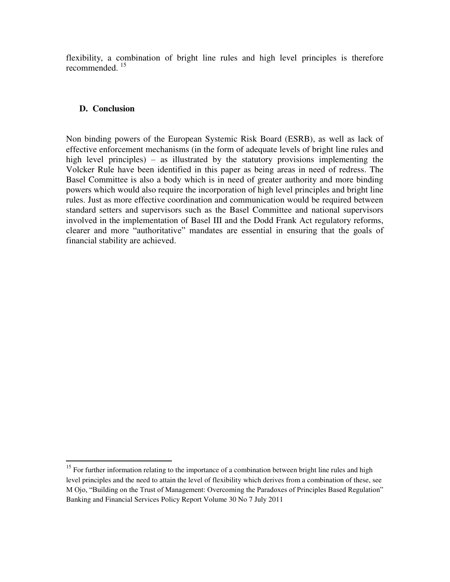flexibility, a combination of bright line rules and high level principles is therefore recommended.<sup>15</sup>

#### **D. Conclusion**

l

Non binding powers of the European Systemic Risk Board (ESRB), as well as lack of effective enforcement mechanisms (in the form of adequate levels of bright line rules and high level principles) – as illustrated by the statutory provisions implementing the Volcker Rule have been identified in this paper as being areas in need of redress. The Basel Committee is also a body which is in need of greater authority and more binding powers which would also require the incorporation of high level principles and bright line rules. Just as more effective coordination and communication would be required between standard setters and supervisors such as the Basel Committee and national supervisors involved in the implementation of Basel III and the Dodd Frank Act regulatory reforms, clearer and more "authoritative" mandates are essential in ensuring that the goals of financial stability are achieved.

<sup>&</sup>lt;sup>15</sup> For further information relating to the importance of a combination between bright line rules and high level principles and the need to attain the level of flexibility which derives from a combination of these, see M Ojo, "Building on the Trust of Management: Overcoming the Paradoxes of Principles Based Regulation" Banking and Financial Services Policy Report Volume 30 No 7 July 2011